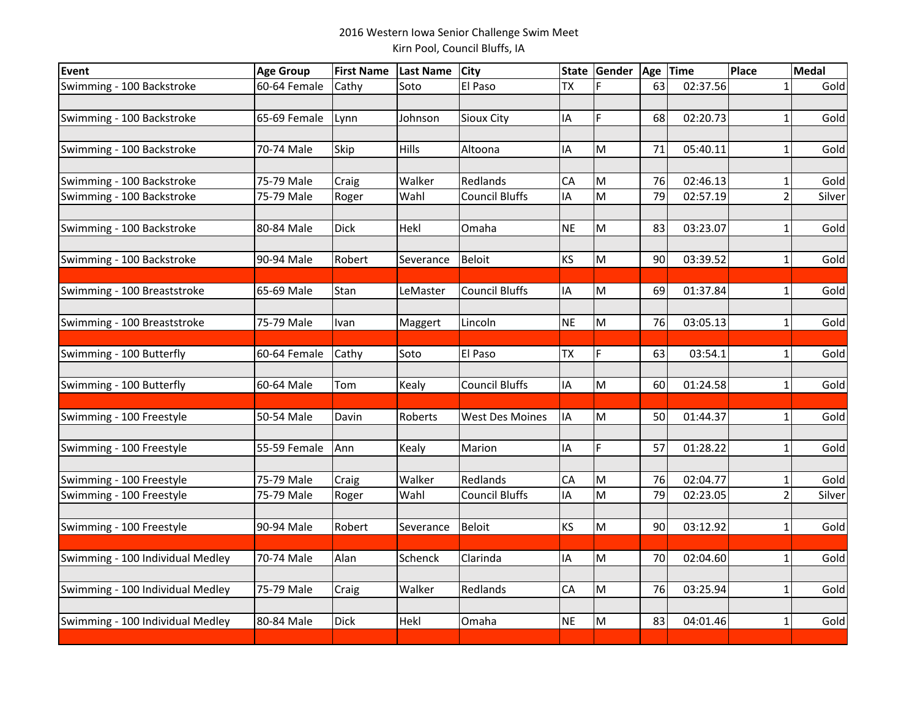## 2016 Western Iowa Senior Challenge Swim MeetKirn Pool, Council Bluffs, IA

| Event                            | <b>Age Group</b> | <b>First Name</b> | <b>Last Name</b> | <b>City</b>            | <b>State</b> | Gender | Age | Time     | Place          | Medal  |
|----------------------------------|------------------|-------------------|------------------|------------------------|--------------|--------|-----|----------|----------------|--------|
| Swimming - 100 Backstroke        | 60-64 Female     | Cathy             | Soto             | El Paso                | <b>TX</b>    |        | 63  | 02:37.56 | 1              | Gold   |
|                                  |                  |                   |                  |                        |              |        |     |          |                |        |
| Swimming - 100 Backstroke        | 65-69 Female     | Lynn              | Johnson          | Sioux City             | IA           | F      | 68  | 02:20.73 |                | Gold   |
|                                  |                  |                   |                  |                        |              |        |     |          |                |        |
| Swimming - 100 Backstroke        | 70-74 Male       | Skip              | <b>Hills</b>     | Altoona                | IA           | M      | 71  | 05:40.11 | 1              | Gold   |
|                                  |                  |                   |                  |                        |              |        |     |          |                |        |
| Swimming - 100 Backstroke        | 75-79 Male       | Craig             | Walker           | Redlands               | CA           | M      | 76  | 02:46.13 |                | Gold   |
| Swimming - 100 Backstroke        | 75-79 Male       | Roger             | Wahl             | <b>Council Bluffs</b>  | IA           | M      | 79  | 02:57.19 | 2              | Silver |
| Swimming - 100 Backstroke        | 80-84 Male       | <b>Dick</b>       | Hekl             | Omaha                  | <b>NE</b>    | M      | 83  | 03:23.07 | $\mathbf{1}$   | Gold   |
|                                  |                  |                   |                  |                        |              |        |     |          |                |        |
| Swimming - 100 Backstroke        | 90-94 Male       | Robert            | Severance        | <b>Beloit</b>          | KS           | M      | 90  | 03:39.52 | $\mathbf{1}$   | Gold   |
|                                  |                  |                   |                  |                        |              |        |     |          |                |        |
| Swimming - 100 Breaststroke      | 65-69 Male       | Stan              | LeMaster         | <b>Council Bluffs</b>  | IA           | M      | 69  | 01:37.84 | 1              | Gold   |
|                                  |                  |                   |                  |                        |              |        |     |          |                |        |
| Swimming - 100 Breaststroke      | 75-79 Male       | Ivan              | Maggert          | Lincoln                | <b>NE</b>    | M      | 76  | 03:05.13 | $\mathbf 1$    | Gold   |
|                                  |                  |                   |                  |                        |              |        |     |          |                |        |
| Swimming - 100 Butterfly         | 60-64 Female     | Cathy             | Soto             | El Paso                | <b>TX</b>    | F      | 63  | 03:54.1  | 1              | Gold   |
| Swimming - 100 Butterfly         | 60-64 Male       | Tom               | Kealy            | <b>Council Bluffs</b>  | IA           | M      | 60  | 01:24.58 | $\mathbf{1}$   | Gold   |
|                                  |                  |                   |                  |                        |              |        |     |          |                |        |
| Swimming - 100 Freestyle         | 50-54 Male       | Davin             | Roberts          | <b>West Des Moines</b> | IA           | M      | 50  | 01:44.37 | $\mathbf 1$    | Gold   |
|                                  |                  |                   |                  |                        |              |        |     |          |                |        |
| Swimming - 100 Freestyle         | 55-59 Female     | Ann               | Kealy            | Marion                 | IA           | F      | 57  | 01:28.22 | $\mathbf{1}$   | Gold   |
|                                  |                  |                   |                  |                        |              |        |     |          |                |        |
| Swimming - 100 Freestyle         | 75-79 Male       | Craig             | Walker           | Redlands               | CA           | M      | 76  | 02:04.77 | 1              | Gold   |
| Swimming - 100 Freestyle         | 75-79 Male       | Roger             | Wahl             | <b>Council Bluffs</b>  | IA           | M      | 79  | 02:23.05 | $\overline{2}$ | Silver |
|                                  |                  |                   |                  |                        |              |        |     |          |                |        |
| Swimming - 100 Freestyle         | 90-94 Male       | Robert            | Severance        | Beloit                 | KS           | M      | 90  | 03:12.92 | 1              | Gold   |
| Swimming - 100 Individual Medley | 70-74 Male       | Alan              | Schenck          | Clarinda               | IA           | M      | 70  | 02:04.60 |                | Gold   |
|                                  |                  |                   |                  |                        |              |        |     |          |                |        |
| Swimming - 100 Individual Medley | 75-79 Male       | Craig             | Walker           | Redlands               | CA           | M      | 76  | 03:25.94 | 1              | Gold   |
|                                  |                  |                   |                  |                        |              |        |     |          |                |        |
| Swimming - 100 Individual Medley | 80-84 Male       | <b>Dick</b>       | Hekl             | Omaha                  | <b>NE</b>    | M      | 83  | 04:01.46 | 1              | Gold   |
|                                  |                  |                   |                  |                        |              |        |     |          |                |        |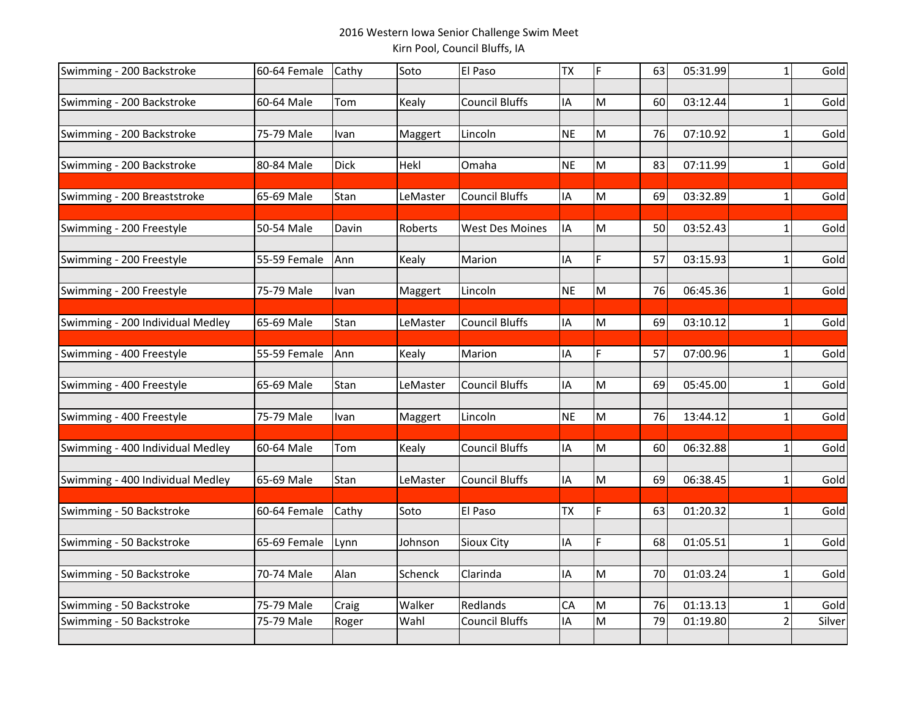## 2016 Western Iowa Senior Challenge Swim MeetKirn Pool, Council Bluffs, IA

| Swimming - 200 Backstroke        | 60-64 Female | Cathy       | Soto     | El Paso               | <b>TX</b> | F | 63 | 05:31.99 | $\mathbf{1}$   | Gold   |
|----------------------------------|--------------|-------------|----------|-----------------------|-----------|---|----|----------|----------------|--------|
|                                  |              |             |          |                       |           |   |    |          |                |        |
| Swimming - 200 Backstroke        | 60-64 Male   | Tom         | Kealy    | <b>Council Bluffs</b> | IA        | M | 60 | 03:12.44 | $\mathbf 1$    | Gold   |
|                                  | 75-79 Male   |             |          | Lincoln               | <b>NE</b> | M | 76 | 07:10.92 | 1              | Gold   |
| Swimming - 200 Backstroke        |              | Ivan        | Maggert  |                       |           |   |    |          |                |        |
| Swimming - 200 Backstroke        | 80-84 Male   | <b>Dick</b> | Hekl     | Omaha                 | <b>NE</b> | M | 83 | 07:11.99 | 1              | Gold   |
|                                  |              |             |          |                       |           |   |    |          |                |        |
| Swimming - 200 Breaststroke      | 65-69 Male   | Stan        | LeMaster | <b>Council Bluffs</b> | IA        | M | 69 | 03:32.89 |                | Gold   |
|                                  |              |             |          |                       |           |   |    |          |                |        |
| Swimming - 200 Freestyle         | 50-54 Male   | Davin       | Roberts  | West Des Moines       | IA        | M | 50 | 03:52.43 | 1              | Gold   |
|                                  |              |             |          |                       |           |   |    |          |                |        |
| Swimming - 200 Freestyle         | 55-59 Female | Ann         | Kealy    | Marion                | IA        | F | 57 | 03:15.93 | 1              | Gold   |
|                                  |              |             |          |                       |           |   |    |          |                |        |
| Swimming - 200 Freestyle         | 75-79 Male   | Ivan        | Maggert  | Lincoln               | <b>NE</b> | M | 76 | 06:45.36 | 1              | Gold   |
|                                  |              |             |          |                       |           |   |    |          |                |        |
| Swimming - 200 Individual Medley | 65-69 Male   | Stan        | LeMaster | <b>Council Bluffs</b> | IA        | M | 69 | 03:10.12 | 1              | Gold   |
| Swimming - 400 Freestyle         | 55-59 Female | Ann         | Kealy    | Marion                | IA        | F | 57 | 07:00.96 | 1              | Gold   |
|                                  |              |             |          |                       |           |   |    |          |                |        |
| Swimming - 400 Freestyle         | 65-69 Male   | Stan        | LeMaster | <b>Council Bluffs</b> | IA        | M | 69 | 05:45.00 | $\mathbf{1}$   | Gold   |
|                                  |              |             |          |                       |           |   |    |          |                |        |
| Swimming - 400 Freestyle         | 75-79 Male   | Ivan        | Maggert  | Lincoln               | <b>NE</b> | M | 76 | 13:44.12 | $\mathbf{1}$   | Gold   |
|                                  |              |             |          |                       |           |   |    |          |                |        |
| Swimming - 400 Individual Medley | 60-64 Male   | Tom         | Kealy    | <b>Council Bluffs</b> | IA        | M | 60 | 06:32.88 | 1              | Gold   |
|                                  |              |             |          |                       |           |   |    |          |                |        |
| Swimming - 400 Individual Medley | 65-69 Male   | Stan        | LeMaster | <b>Council Bluffs</b> | IA        | M | 69 | 06:38.45 | $\mathbf{1}$   | Gold   |
|                                  |              |             |          |                       |           |   |    |          |                |        |
| Swimming - 50 Backstroke         | 60-64 Female | Cathy       | Soto     | El Paso               | <b>TX</b> | F | 63 | 01:20.32 | 1              | Gold   |
|                                  |              |             |          |                       | IA        | F | 68 | 01:05.51 |                | Gold   |
| Swimming - 50 Backstroke         | 65-69 Female | Lynn        | Johnson  | Sioux City            |           |   |    |          | 1              |        |
| Swimming - 50 Backstroke         | 70-74 Male   | Alan        | Schenck  | Clarinda              | IA        | M | 70 | 01:03.24 | 1              | Gold   |
|                                  |              |             |          |                       |           |   |    |          |                |        |
| Swimming - 50 Backstroke         | 75-79 Male   | Craig       | Walker   | Redlands              | CA        | M | 76 | 01:13.13 | 1              | Gold   |
| Swimming - 50 Backstroke         | 75-79 Male   | Roger       | Wahl     | <b>Council Bluffs</b> | IA        | M | 79 | 01:19.80 | $\overline{2}$ | Silver |
|                                  |              |             |          |                       |           |   |    |          |                |        |